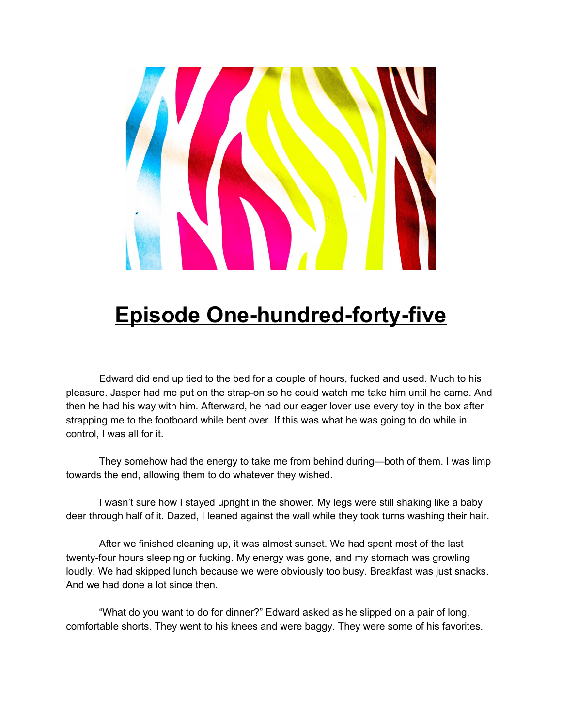

## **Episode One-hundred-forty-five**

Edward did end up tied to the bed for a couple of hours, fucked and used. Much to his pleasure. Jasper had me put on the strap-on so he could watch me take him until he came. And then he had his way with him. Afterward, he had our eager lover use every toy in the box after strapping me to the footboard while bent over. If this was what he was going to do while in control, I was all for it.

They somehow had the energy to take me from behind during—both of them. I was limp towards the end, allowing them to do whatever they wished.

I wasn't sure how I stayed upright in the shower. My legs were still shaking like a baby deer through half of it. Dazed, I leaned against the wall while they took turns washing their hair.

After we finished cleaning up, it was almost sunset. We had spent most of the last twenty-four hours sleeping or fucking. My energy was gone, and my stomach was growling loudly. We had skipped lunch because we were obviously too busy. Breakfast was just snacks. And we had done a lot since then.

"What do you want to do for dinner?" Edward asked as he slipped on a pair of long, comfortable shorts. They went to his knees and were baggy. They were some of his favorites.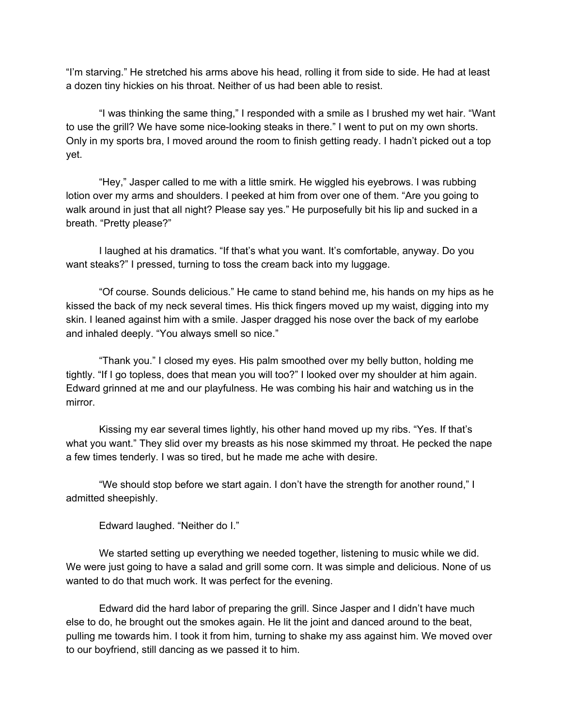"I'm starving." He stretched his arms above his head, rolling it from side to side. He had at least a dozen tiny hickies on his throat. Neither of us had been able to resist.

"I was thinking the same thing," I responded with a smile as I brushed my wet hair. "Want to use the grill? We have some nice-looking steaks in there." I went to put on my own shorts. Only in my sports bra, I moved around the room to finish getting ready. I hadn't picked out a top yet.

"Hey," Jasper called to me with a little smirk. He wiggled his eyebrows. I was rubbing lotion over my arms and shoulders. I peeked at him from over one of them. "Are you going to walk around in just that all night? Please say yes." He purposefully bit his lip and sucked in a breath. "Pretty please?"

I laughed at his dramatics. "If that's what you want. It's comfortable, anyway. Do you want steaks?" I pressed, turning to toss the cream back into my luggage.

"Of course. Sounds delicious." He came to stand behind me, his hands on my hips as he kissed the back of my neck several times. His thick fingers moved up my waist, digging into my skin. I leaned against him with a smile. Jasper dragged his nose over the back of my earlobe and inhaled deeply. "You always smell so nice."

"Thank you." I closed my eyes. His palm smoothed over my belly button, holding me tightly. "If I go topless, does that mean you will too?" I looked over my shoulder at him again. Edward grinned at me and our playfulness. He was combing his hair and watching us in the mirror.

Kissing my ear several times lightly, his other hand moved up my ribs. "Yes. If that's what you want." They slid over my breasts as his nose skimmed my throat. He pecked the nape a few times tenderly. I was so tired, but he made me ache with desire.

"We should stop before we start again. I don't have the strength for another round," I admitted sheepishly.

Edward laughed. "Neither do I."

We started setting up everything we needed together, listening to music while we did. We were just going to have a salad and grill some corn. It was simple and delicious. None of us wanted to do that much work. It was perfect for the evening.

Edward did the hard labor of preparing the grill. Since Jasper and I didn't have much else to do, he brought out the smokes again. He lit the joint and danced around to the beat, pulling me towards him. I took it from him, turning to shake my ass against him. We moved over to our boyfriend, still dancing as we passed it to him.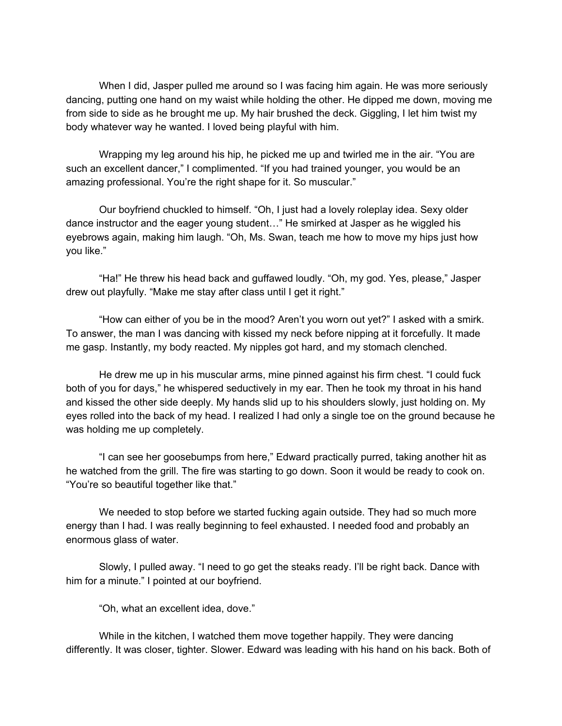When I did, Jasper pulled me around so I was facing him again. He was more seriously dancing, putting one hand on my waist while holding the other. He dipped me down, moving me from side to side as he brought me up. My hair brushed the deck. Giggling, I let him twist my body whatever way he wanted. I loved being playful with him.

Wrapping my leg around his hip, he picked me up and twirled me in the air. "You are such an excellent dancer," I complimented. "If you had trained younger, you would be an amazing professional. You're the right shape for it. So muscular."

Our boyfriend chuckled to himself. "Oh, I just had a lovely roleplay idea. Sexy older dance instructor and the eager young student…" He smirked at Jasper as he wiggled his eyebrows again, making him laugh. "Oh, Ms. Swan, teach me how to move my hips just how you like."

"Ha!" He threw his head back and guffawed loudly. "Oh, my god. Yes, please," Jasper drew out playfully. "Make me stay after class until I get it right."

"How can either of you be in the mood? Aren't you worn out yet?" I asked with a smirk. To answer, the man I was dancing with kissed my neck before nipping at it forcefully. It made me gasp. Instantly, my body reacted. My nipples got hard, and my stomach clenched.

He drew me up in his muscular arms, mine pinned against his firm chest. "I could fuck both of you for days," he whispered seductively in my ear. Then he took my throat in his hand and kissed the other side deeply. My hands slid up to his shoulders slowly, just holding on. My eyes rolled into the back of my head. I realized I had only a single toe on the ground because he was holding me up completely.

"I can see her goosebumps from here," Edward practically purred, taking another hit as he watched from the grill. The fire was starting to go down. Soon it would be ready to cook on. "You're so beautiful together like that."

We needed to stop before we started fucking again outside. They had so much more energy than I had. I was really beginning to feel exhausted. I needed food and probably an enormous glass of water.

Slowly, I pulled away. "I need to go get the steaks ready. I'll be right back. Dance with him for a minute." I pointed at our boyfriend.

"Oh, what an excellent idea, dove."

While in the kitchen, I watched them move together happily. They were dancing differently. It was closer, tighter. Slower. Edward was leading with his hand on his back. Both of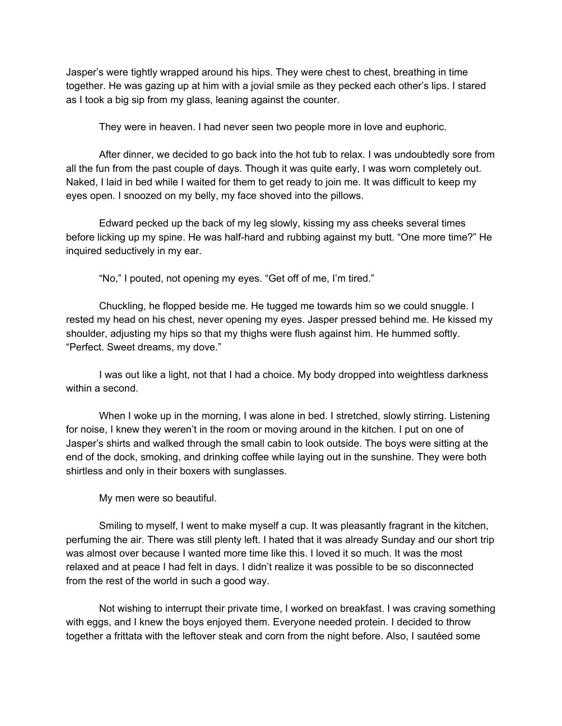Jasper's were tightly wrapped around his hips. They were chest to chest, breathing in time together. He was gazing up at him with a jovial smile as they pecked each other's lips. I stared as I took a big sip from my glass, leaning against the counter.

They were in heaven. I had never seen two people more in love and euphoric.

After dinner, we decided to go back into the hot tub to relax. I was undoubtedly sore from all the fun from the past couple of days. Though it was quite early, I was worn completely out. Naked, I laid in bed while I waited for them to get ready to join me. It was difficult to keep my eyes open. I snoozed on my belly, my face shoved into the pillows.

Edward pecked up the back of my leg slowly, kissing my ass cheeks several times before licking up my spine. He was half-hard and rubbing against my butt. "One more time?" He inquired seductively in my ear.

"No," I pouted, not opening my eyes. "Get off of me, I'm tired."

Chuckling, he flopped beside me. He tugged me towards him so we could snuggle. I rested my head on his chest, never opening my eyes. Jasper pressed behind me. He kissed my shoulder, adjusting my hips so that my thighs were flush against him. He hummed softly. "Perfect. Sweet dreams, my dove."

I was out like a light, not that I had a choice. My body dropped into weightless darkness within a second.

When I woke up in the morning, I was alone in bed. I stretched, slowly stirring. Listening for noise, I knew they weren't in the room or moving around in the kitchen. I put on one of Jasper's shirts and walked through the small cabin to look outside. The boys were sitting at the end of the dock, smoking, and drinking coffee while laying out in the sunshine. They were both shirtless and only in their boxers with sunglasses.

My men were so beautiful.

Smiling to myself, I went to make myself a cup. It was pleasantly fragrant in the kitchen, perfuming the air. There was still plenty left. I hated that it was already Sunday and our short trip was almost over because I wanted more time like this. I loved it so much. It was the most relaxed and at peace I had felt in days. I didn't realize it was possible to be so disconnected from the rest of the world in such a good way.

Not wishing to interrupt their private time, I worked on breakfast. I was craving something with eggs, and I knew the boys enjoyed them. Everyone needed protein. I decided to throw together a frittata with the leftover steak and corn from the night before. Also, I sautéed some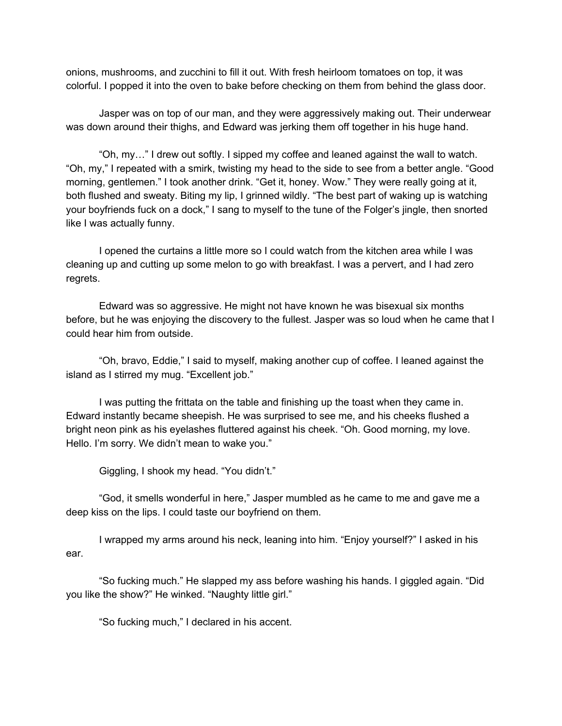onions, mushrooms, and zucchini to fill it out. With fresh heirloom tomatoes on top, it was colorful. I popped it into the oven to bake before checking on them from behind the glass door.

Jasper was on top of our man, and they were aggressively making out. Their underwear was down around their thighs, and Edward was jerking them off together in his huge hand.

"Oh, my…" I drew out softly. I sipped my coffee and leaned against the wall to watch. "Oh, my," I repeated with a smirk, twisting my head to the side to see from a better angle. "Good morning, gentlemen." I took another drink. "Get it, honey. Wow." They were really going at it, both flushed and sweaty. Biting my lip, I grinned wildly. "The best part of waking up is watching your boyfriends fuck on a dock," I sang to myself to the tune of the Folger's jingle, then snorted like I was actually funny.

I opened the curtains a little more so I could watch from the kitchen area while I was cleaning up and cutting up some melon to go with breakfast. I was a pervert, and I had zero regrets.

Edward was so aggressive. He might not have known he was bisexual six months before, but he was enjoying the discovery to the fullest. Jasper was so loud when he came that I could hear him from outside.

"Oh, bravo, Eddie," I said to myself, making another cup of coffee. I leaned against the island as I stirred my mug. "Excellent job."

I was putting the frittata on the table and finishing up the toast when they came in. Edward instantly became sheepish. He was surprised to see me, and his cheeks flushed a bright neon pink as his eyelashes fluttered against his cheek. "Oh. Good morning, my love. Hello. I'm sorry. We didn't mean to wake you."

Giggling, I shook my head. "You didn't."

"God, it smells wonderful in here," Jasper mumbled as he came to me and gave me a deep kiss on the lips. I could taste our boyfriend on them.

I wrapped my arms around his neck, leaning into him. "Enjoy yourself?" I asked in his ear.

"So fucking much." He slapped my ass before washing his hands. I giggled again. "Did you like the show?" He winked. "Naughty little girl."

"So fucking much," I declared in his accent.